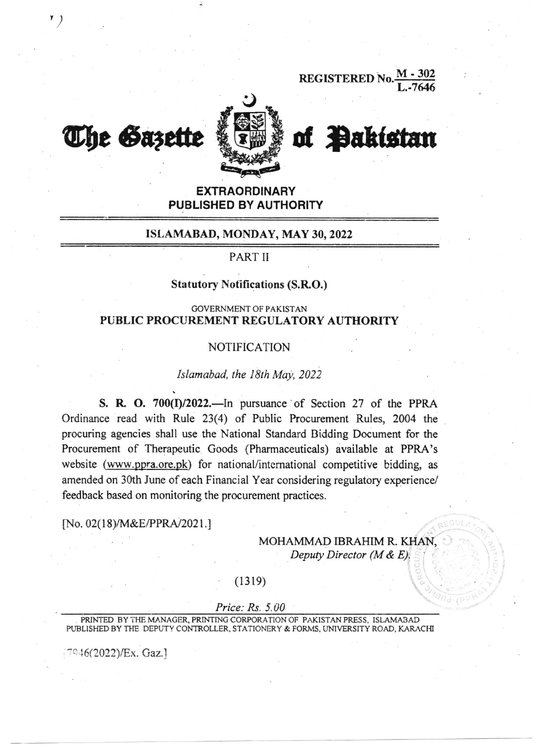REGISTERED No.



# The Gazette & Ew & of Pakistan

t)

# EXTRAORDINARY PUBLISHED BY AUTHORITY

# ISI,AMABAD, MONDAY, MAY 30,2022

## PART II

## Statutory Notifications (S.R.O.)

### GOVERNMENT OF PAKISTAN PUBLIC PROCUREMENT REGULATORY AUTHORITY

# NOTIFICATION

#### Islamabad, the 18th May, 2022

S. R. O.  $700(I)/2022$ . In pursuance of Section 27 of the PPRA Ordinance read with Rule 23(4) of Public Procurement Rules, 2004 the procuring agencies shall use the National Standard Bidding Document for the Procurement of Therapeutic Goods (Pharmaceuticals) available at PPRA's website (www.ppra.ore.pk) for national/international competitive bidding, as amended on 30th June of each Financial Year considering regulatory experience/ feedback based on monitoring the procurement practices.

#### [No. 02(18)/M&E/PPRA/2021.]

# MOHAMMAD IBRAHIM R. KHAN, Deputy Director ( $M \& E$ ).

# $(1319)$

### Price: Rs. 5.00

PRINTED BY THE MANAGER, PRINTING CORPORATION OF PAKISTAN PRESS, ISLAMABAD PUBLISHED BY THE DEPUTY CONTROLLER, STATIONERY & FORMS, UNIVERSITY ROAD, KARACHI

 $7946(2022)/Ex.$  Gaz.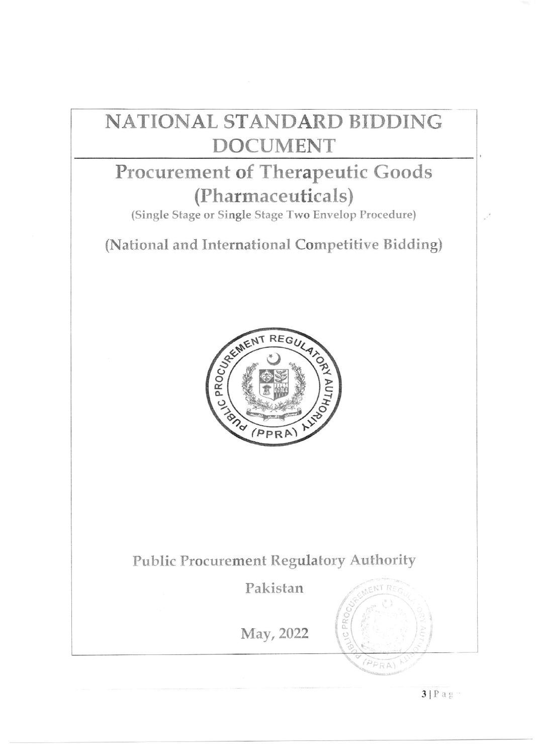# NATIONAL STANDARD BIDDING **DOCUMENT**

# Procurement of Therapeutic Goods (Pharmaceuticals)

(Single Stage or Single Stage Two Envelop Procedure)

(National and International Competitive Bidding)



# **Public Procurement Regulatory Authority**

Pakistan

May, 2022

 $FNTR$ 

 $(PPRA)$ 

PR

 $\circ$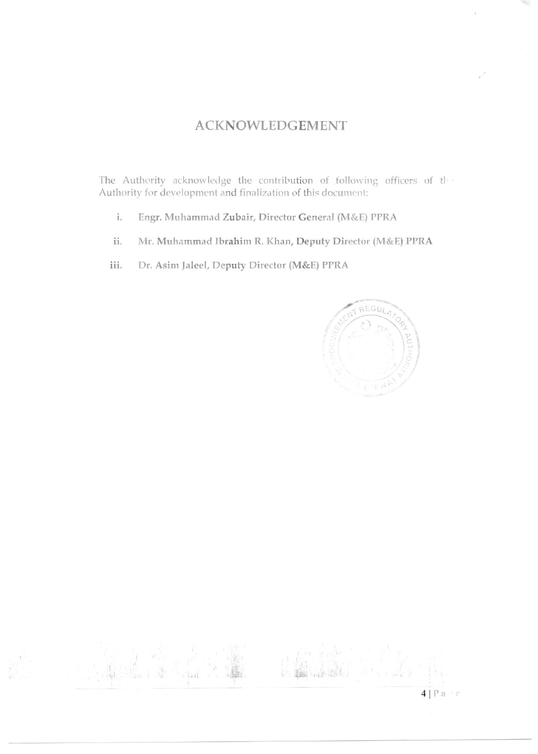# **ACKNOWLEDGEMENT**

The Authority acknowledge the contribution of following officers of the Authority for development and finalization of this document:

- Engr. Muhammad Zubair, Director General (M&E) PPRA  $\mathbf{i}$  .
- Mr. Muhammad Ibrahim R. Khan, Deputy Director (M&E) PPRA ii.
- iii. Dr. Asim Jaleel, Deputy Director (M&E) PPRA

**Vast** 



 $4$ | Page